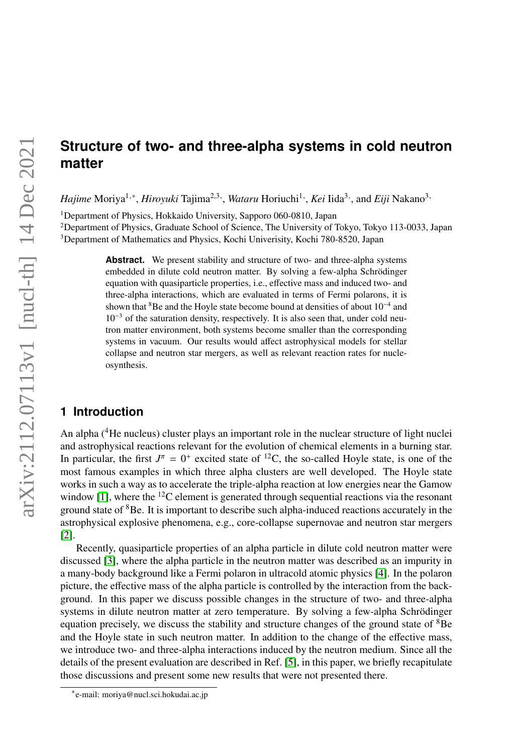# **Structure of two- and three-alpha systems in cold neutron matter**

*Hajime* Moriya<sup>1,∗</sup>, *Hiroyuki* Tajima<sup>2,3,</sup>, *Wataru* Horiuchi<sup>1,</sup>, *Kei* Iida<sup>3,</sup>, and *Eiji* Nakano<sup>3,</sup>

<sup>1</sup>Department of Physics, Hokkaido University, Sapporo 060-0810, Japan

<sup>2</sup>Department of Physics, Graduate School of Science, The University of Tokyo, Tokyo 113-0033, Japan <sup>3</sup>Department of Mathematics and Physics, Kochi Univerisity, Kochi 780-8520, Japan

> Abstract. We present stability and structure of two- and three-alpha systems embedded in dilute cold neutron matter. By solving a few-alpha Schrödinger equation with quasiparticle properties, i.e., effective mass and induced two- and three-alpha interactions, which are evaluated in terms of Fermi polarons, it is shown that <sup>8</sup>Be and the Hoyle state become bound at densities of about 10<sup>-4</sup> and  $10^{-3}$  of the saturation density, respectively. It is also seen that, under cold neutron matter environment, both systems become smaller than the corresponding systems in vacuum. Our results would affect astrophysical models for stellar collapse and neutron star mergers, as well as relevant reaction rates for nucleosynthesis.

## **1 Introduction**

An alpha (4He nucleus) cluster plays an important role in the nuclear structure of light nuclei and astrophysical reactions relevant for the evolution of chemical elements in a burning star. In particular, the first  $J^{\pi} = 0^{+}$  excited state of <sup>12</sup>C, the so-called Hoyle state, is one of the most famous examples in which three alpha clusters are well developed. The Hoyle state works in such a way as to accelerate the triple-alpha reaction at low energies near the Gamow window  $[1]$ , where the <sup>12</sup>C element is generated through sequential reactions via the resonant ground state of  ${}^{8}$ Be. It is important to describe such alpha-induced reactions accurately in the astrophysical explosive phenomena, e.g., core-collapse supernovae and neutron star mergers [\[2\]](#page-2-1).

Recently, quasiparticle properties of an alpha particle in dilute cold neutron matter were discussed [\[3\]](#page-2-2), where the alpha particle in the neutron matter was described as an impurity in a many-body background like a Fermi polaron in ultracold atomic physics [\[4\]](#page-2-3). In the polaron picture, the effective mass of the alpha particle is controlled by the interaction from the background. In this paper we discuss possible changes in the structure of two- and three-alpha systems in dilute neutron matter at zero temperature. By solving a few-alpha Schrödinger equation precisely, we discuss the stability and structure changes of the ground state of <sup>8</sup>Be and the Hoyle state in such neutron matter. In addition to the change of the effective mass, we introduce two- and three-alpha interactions induced by the neutron medium. Since all the details of the present evaluation are described in Ref. [\[5\]](#page-2-4), in this paper, we briefly recapitulate those discussions and present some new results that were not presented there.

<sup>∗</sup> e-mail: moriya@nucl.sci.hokudai.ac.jp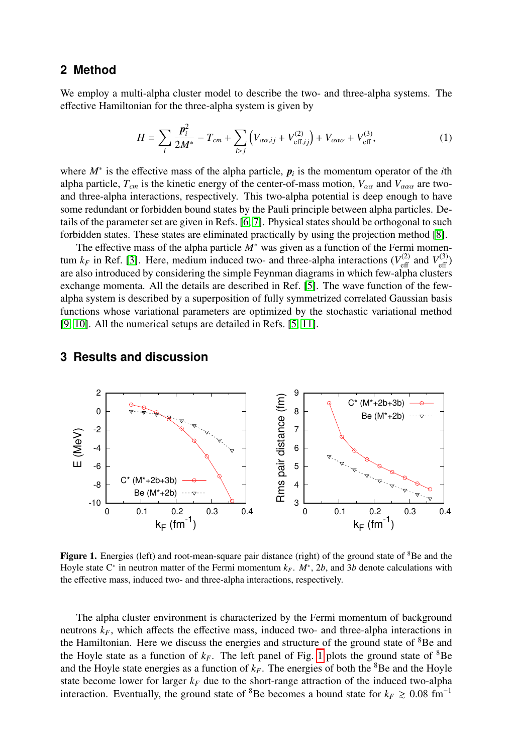#### **2 Method**

We employ a multi-alpha cluster model to describe the two- and three-alpha systems. The effective Hamiltonian for the three-alpha system is given by

$$
H = \sum_{i} \frac{\mathbf{p}_i^2}{2M^*} - T_{cm} + \sum_{i>j} \left( V_{\alpha\alpha,ij} + V_{\text{eff},ij}^{(2)} \right) + V_{\alpha\alpha\alpha} + V_{\text{eff}}^{(3)}, \tag{1}
$$

where  $M^*$  is the effective mass of the alpha particle,  $p_i$  is the momentum operator of the *i*th alpha particle,  $T_{cm}$  is the kinetic energy of the center-of-mass motion,  $V_{\alpha\alpha}$  and  $V_{\alpha\alpha\alpha}$  are twoand three-alpha interactions, respectively. This two-alpha potential is deep enough to have some redundant or forbidden bound states by the Pauli principle between alpha particles. Details of the parameter set are given in Refs. [\[6,](#page-2-5) [7\]](#page-2-6). Physical states should be orthogonal to such forbidden states. These states are eliminated practically by using the projection method [\[8\]](#page-2-7).

The effective mass of the alpha particle *M*<sup>∗</sup> was given as a function of the Fermi momentum  $k_F$  in Ref. [\[3\]](#page-2-2). Here, medium induced two- and three-alpha interactions ( $V_{\text{eff}}^{(2)}$  $V_{\text{eff}}^{(2)}$  and  $V_{\text{eff}}^{(3)}$  $\frac{c^{(3)}}{eff}$ are also introduced by considering the simple Feynman diagrams in which few-alpha clusters exchange momenta. All the details are described in Ref. [\[5\]](#page-2-4). The wave function of the fewalpha system is described by a superposition of fully symmetrized correlated Gaussian basis functions whose variational parameters are optimized by the stochastic variational method [\[9,](#page-2-8) [10\]](#page-2-9). All the numerical setups are detailed in Refs. [\[5,](#page-2-4) [11\]](#page-2-10).

### **3 Results and discussion**



<span id="page-1-0"></span>Figure 1. Energies (left) and root-mean-square pair distance (right) of the ground state of <sup>8</sup>Be and the Hoyle state C<sup>∗</sup> in neutron matter of the Fermi momentum *kF*. *M*<sup>∗</sup> , 2*b*, and 3*b* denote calculations with the effective mass, induced two- and three-alpha interactions, respectively.

The alpha cluster environment is characterized by the Fermi momentum of background neutrons  $k_F$ , which affects the effective mass, induced two- and three-alpha interactions in the Hamiltonian. Here we discuss the energies and structure of the ground state of <sup>8</sup>Be and the Hoyle state as a function of  $k_F$ . The left panel of Fig. [1](#page-1-0) plots the ground state of  ${}^{8}$ Be and the Hoyle state energies as a function of  $k_F$ . The energies of both the <sup>8</sup>Be and the Hoyle state become lower for larger  $k_F$  due to the short-range attraction of the induced two-alpha interaction. Eventually, the ground state of <sup>8</sup>Be becomes a bound state for  $k_F \ge 0.08$  fm<sup>-1</sup>